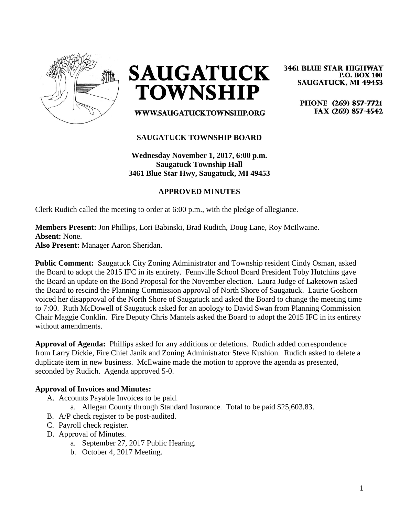

**SAUGATUCK TOWNSHIP** 

WWW.SAUGATUCKTOWNSHIP.ORG

**3461 BLUE STAR HIGHWAY P.O. BOX 100 SAUGATUCK, MI 49453** 

> PHONE (269) 857-7721 FAX (269) 857-4542

# **SAUGATUCK TOWNSHIP BOARD**

**Wednesday November 1, 2017, 6:00 p.m. Saugatuck Township Hall 3461 Blue Star Hwy, Saugatuck, MI 49453**

## **APPROVED MINUTES**

Clerk Rudich called the meeting to order at 6:00 p.m., with the pledge of allegiance.

## **Members Present:** Jon Phillips, Lori Babinski, Brad Rudich, Doug Lane, Roy McIlwaine. **Absent:** None. **Also Present:** Manager Aaron Sheridan.

**Public Comment:** Saugatuck City Zoning Administrator and Township resident Cindy Osman, asked the Board to adopt the 2015 IFC in its entirety. Fennville School Board President Toby Hutchins gave the Board an update on the Bond Proposal for the November election. Laura Judge of Laketown asked the Board to rescind the Planning Commission approval of North Shore of Saugatuck. Laurie Goshorn voiced her disapproval of the North Shore of Saugatuck and asked the Board to change the meeting time to 7:00. Ruth McDowell of Saugatuck asked for an apology to David Swan from Planning Commission Chair Maggie Conklin. Fire Deputy Chris Mantels asked the Board to adopt the 2015 IFC in its entirety without amendments.

**Approval of Agenda:** Phillips asked for any additions or deletions. Rudich added correspondence from Larry Dickie, Fire Chief Janik and Zoning Administrator Steve Kushion. Rudich asked to delete a duplicate item in new business. McIlwaine made the motion to approve the agenda as presented, seconded by Rudich. Agenda approved 5-0.

#### **Approval of Invoices and Minutes:**

- A. Accounts Payable Invoices to be paid.
	- a. Allegan County through Standard Insurance. Total to be paid \$25,603.83.
- B. A/P check register to be post-audited.
- C. Payroll check register.
- D. Approval of Minutes.
	- a. September 27, 2017 Public Hearing.
	- b. October 4, 2017 Meeting.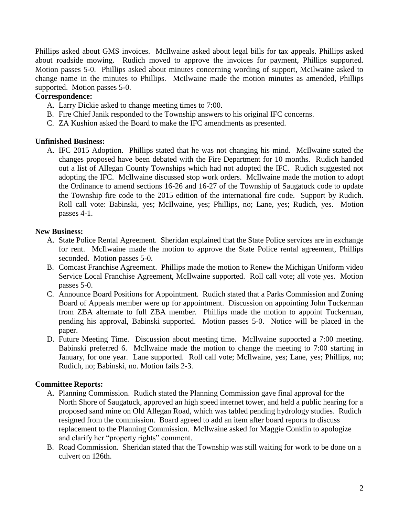Phillips asked about GMS invoices. McIlwaine asked about legal bills for tax appeals. Phillips asked about roadside mowing. Rudich moved to approve the invoices for payment, Phillips supported. Motion passes 5-0. Phillips asked about minutes concerning wording of support, McIlwaine asked to change name in the minutes to Phillips. McIlwaine made the motion minutes as amended, Phillips supported. Motion passes 5-0.

# **Correspondence:**

- A. Larry Dickie asked to change meeting times to 7:00.
- B. Fire Chief Janik responded to the Township answers to his original IFC concerns.
- C. ZA Kushion asked the Board to make the IFC amendments as presented.

## **Unfinished Business:**

A. IFC 2015 Adoption. Phillips stated that he was not changing his mind. McIlwaine stated the changes proposed have been debated with the Fire Department for 10 months. Rudich handed out a list of Allegan County Townships which had not adopted the IFC. Rudich suggested not adopting the IFC. McIlwaine discussed stop work orders. McIlwaine made the motion to adopt the Ordinance to amend sections 16-26 and 16-27 of the Township of Saugatuck code to update the Township fire code to the 2015 edition of the international fire code. Support by Rudich. Roll call vote: Babinski, yes; McIlwaine, yes; Phillips, no; Lane, yes; Rudich, yes. Motion passes 4-1.

# **New Business:**

- A. State Police Rental Agreement. Sheridan explained that the State Police services are in exchange for rent. McIlwaine made the motion to approve the State Police rental agreement, Phillips seconded. Motion passes 5-0.
- B. Comcast Franchise Agreement. Phillips made the motion to Renew the Michigan Uniform video Service Local Franchise Agreement, McIlwaine supported. Roll call vote; all vote yes. Motion passes 5-0.
- C. Announce Board Positions for Appointment. Rudich stated that a Parks Commission and Zoning Board of Appeals member were up for appointment. Discussion on appointing John Tuckerman from ZBA alternate to full ZBA member. Phillips made the motion to appoint Tuckerman, pending his approval, Babinski supported. Motion passes 5-0. Notice will be placed in the paper.
- D. Future Meeting Time. Discussion about meeting time. McIlwaine supported a 7:00 meeting. Babinski preferred 6. McIlwaine made the motion to change the meeting to 7:00 starting in January, for one year. Lane supported. Roll call vote; McIlwaine, yes; Lane, yes; Phillips, no; Rudich, no; Babinski, no. Motion fails 2-3.

## **Committee Reports:**

- A. Planning Commission. Rudich stated the Planning Commission gave final approval for the North Shore of Saugatuck, approved an high speed internet tower, and held a public hearing for a proposed sand mine on Old Allegan Road, which was tabled pending hydrology studies. Rudich resigned from the commission. Board agreed to add an item after board reports to discuss replacement to the Planning Commission. McIlwaine asked for Maggie Conklin to apologize and clarify her "property rights" comment.
- B. Road Commission. Sheridan stated that the Township was still waiting for work to be done on a culvert on 126th.